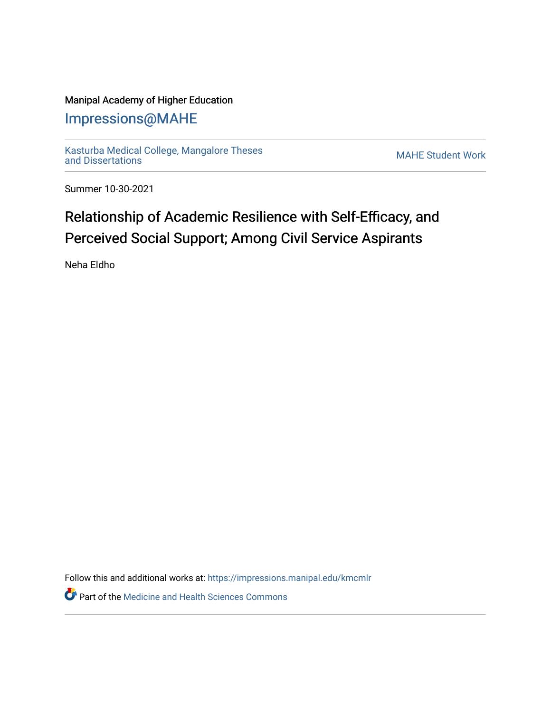### Manipal Academy of Higher Education

## [Impressions@MAHE](https://impressions.manipal.edu/)

[Kasturba Medical College, Mangalore Theses](https://impressions.manipal.edu/kmcmlr) Kasturba Medical College, Mangalore Theses<br>[and Dissertations](https://impressions.manipal.edu/kmcmlr) MAHE Student Work

Summer 10-30-2021

# Relationship of Academic Resilience with Self-Efficacy, and Perceived Social Support; Among Civil Service Aspirants

Neha Eldho

Follow this and additional works at: [https://impressions.manipal.edu/kmcmlr](https://impressions.manipal.edu/kmcmlr?utm_source=impressions.manipal.edu%2Fkmcmlr%2F257&utm_medium=PDF&utm_campaign=PDFCoverPages) 

**Part of the Medicine and Health Sciences Commons**